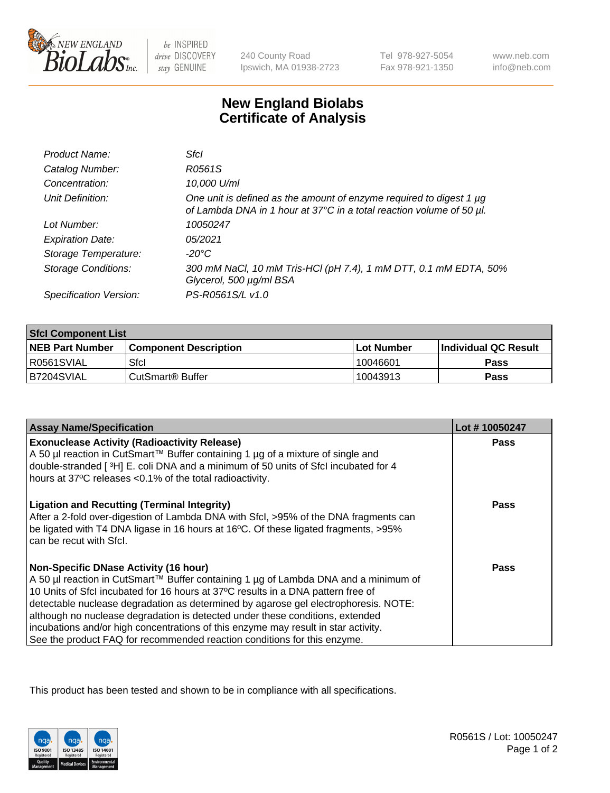

 $be$  INSPIRED drive DISCOVERY stay GENUINE

240 County Road Ipswich, MA 01938-2723 Tel 978-927-5054 Fax 978-921-1350

www.neb.com info@neb.com

## **New England Biolabs Certificate of Analysis**

| Product Name:              | Sfcl                                                                                                                                             |
|----------------------------|--------------------------------------------------------------------------------------------------------------------------------------------------|
| Catalog Number:            | R0561S                                                                                                                                           |
| Concentration:             | 10,000 U/ml                                                                                                                                      |
| Unit Definition:           | One unit is defined as the amount of enzyme required to digest 1 $\mu$ g<br>of Lambda DNA in 1 hour at 37°C in a total reaction volume of 50 µl. |
| Lot Number:                | 10050247                                                                                                                                         |
| <b>Expiration Date:</b>    | 05/2021                                                                                                                                          |
| Storage Temperature:       | -20°C                                                                                                                                            |
| <b>Storage Conditions:</b> | 300 mM NaCl, 10 mM Tris-HCl (pH 7.4), 1 mM DTT, 0.1 mM EDTA, 50%<br>Glycerol, 500 µg/ml BSA                                                      |
| Specification Version:     | PS-R0561S/L v1.0                                                                                                                                 |

| <b>Sfcl Component List</b> |                              |              |                             |  |
|----------------------------|------------------------------|--------------|-----------------------------|--|
| <b>NEB Part Number</b>     | <b>Component Description</b> | l Lot Number | <b>Individual QC Result</b> |  |
| R0561SVIAL                 | Sfcl                         | 10046601     | <b>Pass</b>                 |  |
| B7204SVIAL                 | l CutSmart® Buffer           | 10043913     | Pass                        |  |

| <b>Assay Name/Specification</b>                                                                                                                                                                                                                              | Lot #10050247 |
|--------------------------------------------------------------------------------------------------------------------------------------------------------------------------------------------------------------------------------------------------------------|---------------|
| <b>Exonuclease Activity (Radioactivity Release)</b>                                                                                                                                                                                                          | Pass          |
| A 50 µl reaction in CutSmart™ Buffer containing 1 µg of a mixture of single and<br>double-stranded [3H] E. coli DNA and a minimum of 50 units of Sfcl incubated for 4                                                                                        |               |
| hours at 37°C releases < 0.1% of the total radioactivity.                                                                                                                                                                                                    |               |
| <b>Ligation and Recutting (Terminal Integrity)</b><br>After a 2-fold over-digestion of Lambda DNA with Sfcl, >95% of the DNA fragments can<br>be ligated with T4 DNA ligase in 16 hours at 16°C. Of these ligated fragments, >95%<br>can be recut with Sfcl. | Pass          |
| <b>Non-Specific DNase Activity (16 hour)</b>                                                                                                                                                                                                                 | Pass          |
| A 50 µl reaction in CutSmart™ Buffer containing 1 µg of Lambda DNA and a minimum of                                                                                                                                                                          |               |
| 10 Units of SfcI incubated for 16 hours at 37°C results in a DNA pattern free of                                                                                                                                                                             |               |
| detectable nuclease degradation as determined by agarose gel electrophoresis. NOTE:                                                                                                                                                                          |               |
| although no nuclease degradation is detected under these conditions, extended                                                                                                                                                                                |               |
| incubations and/or high concentrations of this enzyme may result in star activity.                                                                                                                                                                           |               |
| See the product FAQ for recommended reaction conditions for this enzyme.                                                                                                                                                                                     |               |

This product has been tested and shown to be in compliance with all specifications.